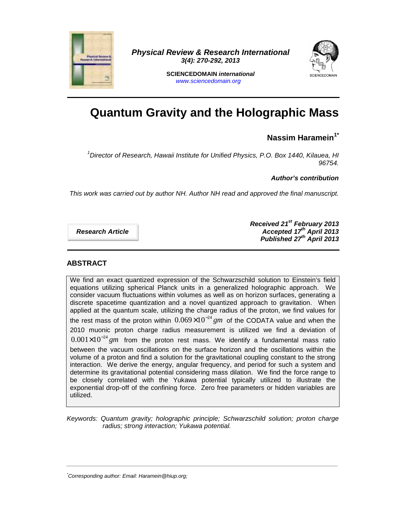

**Physical Review & Research International 3(4): 270-292, 2013** 



**SCIENCEDOMAIN international**  www.sciencedomain.org

# **Quantum Gravity and the Holographic Mass**

# **Nassim Haramein1\***

<sup>1</sup>Director of Research, Hawaii Institute for Unified Physics, P.O. Box 1440, Kilauea, HI 96754.

**Author's contribution** 

This work was carried out by author NH. Author NH read and approved the final manuscript.

**Research Article** 

**Received 21st February 2013 Accepted 17th April 2013 Published 27th April 2013** 

# **ABSTRACT**

We find an exact quantized expression of the Schwarzschild solution to Einstein's field equations utilizing spherical Planck units in a generalized holographic approach. We consider vacuum fluctuations within volumes as well as on horizon surfaces, generating a discrete spacetime quantization and a novel quantized approach to gravitation. When applied at the quantum scale, utilizing the charge radius of the proton, we find values for the rest mass of the proton within  $0.069\times10^{-24}$  gm of the CODATA value and when the 2010 muonic proton charge radius measurement is utilized we find a deviation of  $0.001\times10^{-24}\,gm$  from the proton rest mass. We identify a fundamental mass ratio between the vacuum oscillations on the surface horizon and the oscillations within the volume of a proton and find a solution for the gravitational coupling constant to the strong interaction. We derive the energy, angular frequency, and period for such a system and determine its gravitational potential considering mass dilation. We find the force range to be closely correlated with the Yukawa potential typically utilized to illustrate the exponential drop-off of the confining force. Zero free parameters or hidden variables are utilized.

Keywords: Quantum gravity; holographic principle; Schwarzschild solution; proton charge radius; strong interaction; Yukawa potential.

 $\bot$  , and the set of the set of the set of the set of the set of the set of the set of the set of the set of the set of the set of the set of the set of the set of the set of the set of the set of the set of the set of t

<sup>\*</sup>Corresponding author: Email: Haramein@hiup.org;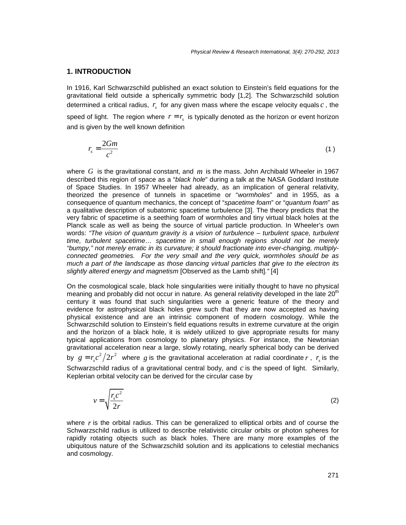#### **1. INTRODUCTION**

In 1916, Karl Schwarzschild published an exact solution to Einstein's field equations for the gravitational field outside a spherically symmetric body [1,2]. The Schwarzschild solution determined a critical radius,  $r<sub>s</sub>$  for any given mass where the escape velocity equals  $c$  , the speed of light. The region where  $r = r_s$  is typically denoted as the horizon or event horizon and is given by the well known definition

$$
r_s = \frac{2Gm}{c^2} \tag{1}
$$

where  $G$  is the gravitational constant, and  $m$  is the mass. John Archibald Wheeler in 1967 described this region of space as a "black hole" during a talk at the NASA Goddard Institute of Space Studies. In 1957 Wheeler had already, as an implication of general relativity, theorized the presence of tunnels in spacetime or "wormholes" and in 1955, as a consequence of quantum mechanics, the concept of "spacetime foam" or "quantum foam" as a qualitative description of subatomic spacetime turbulence [3]. The theory predicts that the very fabric of spacetime is a seething foam of wormholes and tiny virtual black holes at the Planck scale as well as being the source of virtual particle production. In Wheeler's own words: "The vision of quantum gravity is a vision of turbulence – turbulent space, turbulent time, turbulent spacetime… spacetime in small enough regions should not be merely "bumpy," not merely erratic in its curvature; it should fractionate into ever-changing, multiplyconnected geometries. For the very small and the very quick, wormholes should be as much a part of the landscape as those dancing virtual particles that give to the electron its slightly altered energy and magnetism [Observed as the Lamb shift]."[4]

On the cosmological scale, black hole singularities were initially thought to have no physical meaning and probably did not occur in nature. As general relativity developed in the late 20<sup>th</sup> century it was found that such singularities were a generic feature of the theory and evidence for astrophysical black holes grew such that they are now accepted as having physical existence and are an intrinsic component of modern cosmology. While the Schwarzschild solution to Einstein's field equations results in extreme curvature at the origin and the horizon of a black hole, it is widely utilized to give appropriate results for many typical applications from cosmology to planetary physics. For instance, the Newtonian gravitational acceleration near a large, slowly rotating, nearly spherical body can be derived by  $g = r_s c^2 / 2r^2$  where g is the gravitational acceleration at radial coordinate r,  $r_s$  is the Schwarzschild radius of a gravitational central body, and  $c$  is the speed of light. Similarly, Keplerian orbital velocity can be derived for the circular case by

$$
v = \sqrt{\frac{r_s c^2}{2r}}
$$
 (2)

where  $r$  is the orbital radius. This can be generalized to elliptical orbits and of course the Schwarzschild radius is utilized to describe relativistic circular orbits or photon spheres for rapidly rotating objects such as black holes. There are many more examples of the ubiquitous nature of the Schwarzschild solution and its applications to celestial mechanics and cosmology.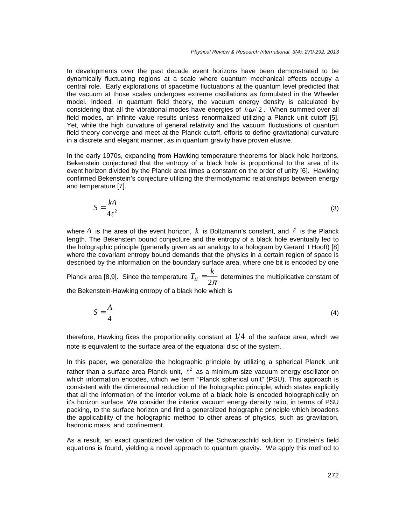In developments over the past decade event horizons have been demonstrated to be dynamically fluctuating regions at a scale where quantum mechanical effects occupy a central role. Early explorations of spacetime fluctuations at the quantum level predicted that the vacuum at those scales undergoes extreme oscillations as formulated in the Wheeler model. Indeed, in quantum field theory, the vacuum energy density is calculated by considering that all the vibrational modes have energies of  $\hbar\omega/2$ . When summed over all field modes, an infinite value results unless renormalized utilizing a Planck unit cutoff [5]. Yet, while the high curvature of general relativity and the vacuum fluctuations of quantum field theory converge and meet at the Planck cutoff, efforts to define gravitational curvature in a discrete and elegant manner, as in quantum gravity have proven elusive.

In the early 1970s, expanding from Hawking temperature theorems for black hole horizons, Bekenstein conjectured that the entropy of a black hole is proportional to the area of its event horizon divided by the Planck area times a constant on the order of unity [6]. Hawking confirmed Bekenstein's conjecture utilizing the thermodynamic relationships between energy and temperature [7].

$$
S = \frac{kA}{4\ell^2} \tag{3}
$$

where  $A$  is the area of the event horizon,  $k$  is Boltzmann's constant, and  $\ell$  is the Planck length. The Bekenstein bound conjecture and the entropy of a black hole eventually led to the holographic principle (generally given as an analogy to a hologram by Gerard 't Hooft) [8] where the covariant entropy bound demands that the physics in a certain region of space is described by the information on the boundary surface area, where one bit is encoded by one

Planck area [8,9]. Since the temperature  $T_H = \frac{1}{2\pi}$  determines the multiplicative constant of  $T_H = \frac{k}{2\pi}$ 

the Bekenstein-Hawking entropy of a black hole which is

$$
S = \frac{A}{4} \tag{4}
$$

therefore, Hawking fixes the proportionality constant at  $1/4\;$  of the surface area, which we note is equivalent to the surface area of the equatorial disc of the system.

In this paper, we generalize the holographic principle by utilizing a spherical Planck unit rather than a surface area Planck unit,  $\ell^2$  as a minimum-size vacuum energy oscillator on which information encodes, which we term "Planck spherical unit" (PSU). This approach is consistent with the dimensional reduction of the holographic principle, which states explicitly that all the information of the interior volume of a black hole is encoded holographically on it's horizon surface. We consider the interior vacuum energy density ratio, in terms of PSU packing, to the surface horizon and find a generalized holographic principle which broadens the applicability of the holographic method to other areas of physics, such as gravitation, hadronic mass, and confinement.

As a result, an exact quantized derivation of the Schwarzschild solution to Einstein's field equations is found, yielding a novel approach to quantum gravity. We apply this method to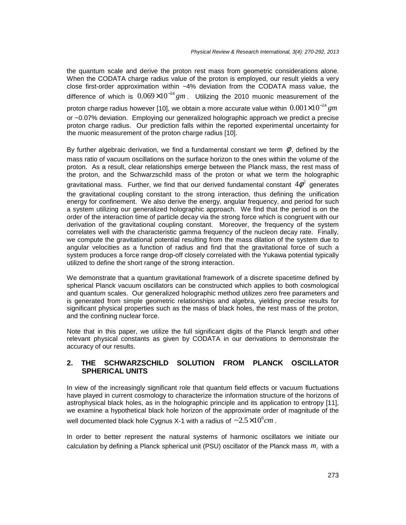the quantum scale and derive the proton rest mass from geometric considerations alone. When the CODATA charge radius value of the proton is employed, our result yields a very close first-order approximation within ~4% deviation from the CODATA mass value, the difference of which is  $0.069\times10^{-24}$  gm. Utilizing the 2010 muonic measurement of the proton charge radius however [10], we obtain a more accurate value within  $\,0.001{\times}10^{-24}\,gm$ or ~0.07% deviation. Employing our generalized holographic approach we predict a precise proton charge radius. Our prediction falls within the reported experimental uncertainty for the muonic measurement of the proton charge radius [10].

By further algebraic derivation, we find a fundamental constant we term  $\phi$ , defined by the mass ratio of vacuum oscillations on the surface horizon to the ones within the volume of the proton. As a result, clear relationships emerge between the Planck mass, the rest mass of the proton, and the Schwarzschild mass of the proton or what we term the holographic gravitational mass. Further, we find that our derived fundamental constant  $4\phi^2$  generates the gravitational coupling constant to the strong interaction, thus defining the unification energy for confinement. We also derive the energy, angular frequency, and period for such a system utilizing our generalized holographic approach. We find that the period is on the order of the interaction time of particle decay via the strong force which is congruent with our derivation of the gravitational coupling constant. Moreover, the frequency of the system correlates well with the characteristic gamma frequency of the nucleon decay rate. Finally, we compute the gravitational potential resulting from the mass dilation of the system due to angular velocities as a function of radius and find that the gravitational force of such a system produces a force range drop-off closely correlated with the Yukawa potential typically utilized to define the short range of the strong interaction.

We demonstrate that a quantum gravitational framework of a discrete spacetime defined by spherical Planck vacuum oscillators can be constructed which applies to both cosmological and quantum scales. Our generalized holographic method utilizes zero free parameters and is generated from simple geometric relationships and algebra, yielding precise results for significant physical properties such as the mass of black holes, the rest mass of the proton, and the confining nuclear force.

Note that in this paper, we utilize the full significant digits of the Planck length and other relevant physical constants as given by CODATA in our derivations to demonstrate the accuracy of our results.

#### **2. THE SCHWARZSCHILD SOLUTION FROM PLANCK OSCILLATOR SPHERICAL UNITS**

In view of the increasingly significant role that quantum field effects or vacuum fluctuations have played in current cosmology to characterize the information structure of the horizons of astrophysical black holes, as in the holographic principle and its application to entropy [11], we examine a hypothetical black hole horizon of the approximate order of magnitude of the well documented black hole Cygnus X-1 with a radius of  $~\sim \! \! 2.5 \times \! 10^6 cm$  .

In order to better represent the natural systems of harmonic oscillators we initiate our calculation by defining a Planck spherical unit (PSU) oscillator of the Planck mass  $m_{\ell}$  with a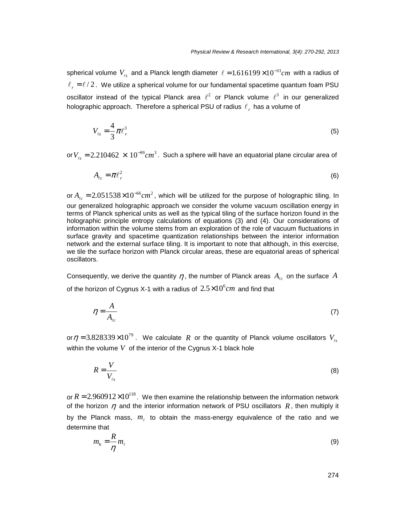spherical volume  $V_{\ell s}$  and a Planck length diameter  $\ell = 1.616199{\times}10^{-33} cm$  with a radius of  $\ell_r = \ell/2$ . We utilize a spherical volume for our fundamental spacetime quantum foam PSU oscillator instead of the typical Planck area  $\ell^2$  or Planck volume  $\ell^3$  in our generalized holographic approach. Therefore a spherical PSU of radius  $\ell_r$  has a volume of

$$
V_{\ell s} = \frac{4}{3}\pi \ell_r^3 \tag{5}
$$

or  $V_{ts} = 2.210462\,\times\,10^{-99} cm^3$ . Such a sphere will have an equatorial plane circular area of

$$
A_{\ell c} = \pi \ell_r^2 \tag{6}
$$

or  $A_{ec} = 2.051538 \times 10^{-66} cm^2$ , which will be utilized for the purpose of holographic tiling. In our generalized holographic approach we consider the volume vacuum oscillation energy in terms of Planck spherical units as well as the typical tiling of the surface horizon found in the holographic principle entropy calculations of equations (3) and (4). Our considerations of information within the volume stems from an exploration of the role of vacuum fluctuations in surface gravity and spacetime quantization relationships between the interior information network and the external surface tiling. It is important to note that although, in this exercise, we tile the surface horizon with Planck circular areas, these are equatorial areas of spherical oscillators.

Consequently, we derive the quantity  $\eta$  , the number of Planck areas  $A_{_{\ell c}}$  on the surface  $A$ of the horizon of Cygnus X-1 with a radius of  $2.5 \times 10^6 cm$  and find that

$$
\eta = \frac{A}{A_{\ell c}}\tag{7}
$$

or  $\eta$  = 3.828339 $\times 10^{79}$  . We calculate  $~R~$  or the quantity of Planck volume oscillators  $~V_{_{\ell s}}$ within the volume  $V$  of the interior of the Cygnus X-1 black hole

$$
R = \frac{V}{V_{\ell s}}\tag{8}
$$

or  $R = 2.960912 \times 10^{118}$ . We then examine the relationship between the information network of the horizon  $\eta$  and the interior information network of PSU oscillators  $R$ , then multiply it by the Planck mass,  $m_{\ell}$  to obtain the mass-energy equivalence of the ratio and we determine that

$$
m_h = \frac{R}{\eta} m_\ell \tag{9}
$$

274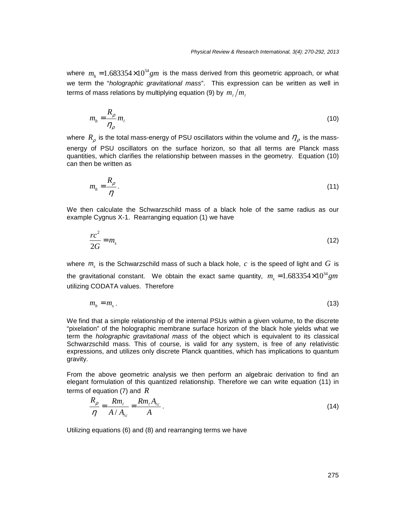where  $m_h^{} = 1.683354{\times}10^{34}gm$  is the mass derived from this geometric approach, or what we term the "holographic gravitational mass". This expression can be written as well in terms of mass relations by multiplying equation (9) by  $\left. m_{_\ell}\right/ m_{_\ell}$ 

$$
m_h = \frac{R_\rho}{\eta_\rho} m_\ell \tag{10}
$$

where  $\,R_{\rho}\,$  is the total mass-energy of PSU oscillators within the volume and  $\,\eta_{\rho}\,$  is the massenergy of PSU oscillators on the surface horizon, so that all terms are Planck mass quantities, which clarifies the relationship between masses in the geometry. Equation (10) can then be written as

$$
m_h = \frac{R_\rho}{\eta}.\tag{11}
$$

We then calculate the Schwarzschild mass of a black hole of the same radius as our example Cygnus X-1. Rearranging equation (1) we have

$$
\frac{rc^2}{2G} = m_s \tag{12}
$$

where  $m_s$  is the Schwarzschild mass of such a black hole,  $c$  is the speed of light and  $G$  is the gravitational constant. We obtain the exact same quantity,  $m_{_S} = 1.683354 \times 10^{34} gm$ utilizing CODATA values. Therefore

$$
m_h = m_s \,. \tag{13}
$$

We find that a simple relationship of the internal PSUs within a given volume, to the discrete "pixelation" of the holographic membrane surface horizon of the black hole yields what we term the holographic gravitational mass of the object which is equivalent to its classical Schwarzschild mass. This of course, is valid for any system, is free of any relativistic expressions, and utilizes only discrete Planck quantities, which has implications to quantum gravity.

From the above geometric analysis we then perform an algebraic derivation to find an elegant formulation of this quantized relationship. Therefore we can write equation (11) in terms of equation (7) and *R*

$$
\frac{R_{\rho}}{\eta} = \frac{Rm_{\ell}}{A/A_{\ell c}} = \frac{Rm_{\ell}A_{\ell c}}{A}.
$$
\n(14)

Utilizing equations (6) and (8) and rearranging terms we have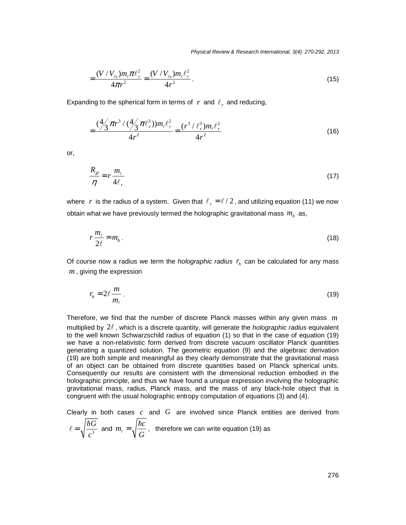Physical Review & Research International, 3(4): 270-292, 2013

$$
=\frac{(V/V_{\ell s})m_{\ell}\pi\ell_r^2}{4\pi r^2}=\frac{(V/V_{\ell s})m_{\ell}\ell_r^2}{4r^2}.
$$
\n(15)

Expanding to the spherical form in terms of  $r$  and  $\ell_r$  and reducing,

$$
=\frac{(\frac{4}{3}\pi r^3/(\frac{4}{3}\pi \ell_r^3))m_\ell \ell_r^2}{4r^2}=\frac{(r^3/\ell_r^3)m_\ell \ell_r^2}{4r^2}
$$
(16)

or,

$$
\frac{R_{\rho}}{\eta} = r \frac{m_{\ell}}{4\ell_{r}} \tag{17}
$$

where  $\vert r \vert$  is the radius of a system. Given that  $\ell_r = \ell/2$ , and utilizing equation (11) we now obtain what we have previously termed the holographic gravitational mass  $m_h^{\parallel}$  as,

$$
r\frac{m_{\ell}}{2\ell}=m_h\,.
$$

Of course now a radius we term the *holographic radius*  $r<sub>h</sub>$  can be calculated for any mass , giving the expression *m*

$$
r_h = 2\ell \frac{m}{m_\ell} \,. \tag{19}
$$

Therefore, we find that the number of discrete Planck masses within any given mass *m* multiplied by  $2\ell$ , which is a discrete quantity, will generate the *holographic radius* equivalent to the well known Schwarzschild radius of equation (1) so that in the case of equation (19) we have a non-relativistic form derived from discrete vacuum oscillator Planck quantities generating a quantized solution. The geometric equation (9) and the algebraic derivation (19) are both simple and meaningful as they clearly demonstrate that the gravitational mass of an object can be obtained from discrete quantities based on Planck spherical units. Consequently our results are consistent with the dimensional reduction embodied in the holographic principle, and thus we have found a unique expression involving the holographic gravitational mass, radius, Planck mass, and the mass of any black-hole object that is congruent with the usual holographic entropy computation of equations (3) and (4).

Clearly in both cases  $c$  and  $G$  are involved since Planck entities are derived from  $\frac{a}{3}$  and  $m_{\ell} = \sqrt{\frac{10}{C}}$ , therefore we can write equation (19) as *G c* =  $\ell = \sqrt{\frac{\hbar G}{\lambda}}$  and  $m_{\ell} = \sqrt{\frac{\hbar c}{\lambda}}$ *G*  $\ell =$ h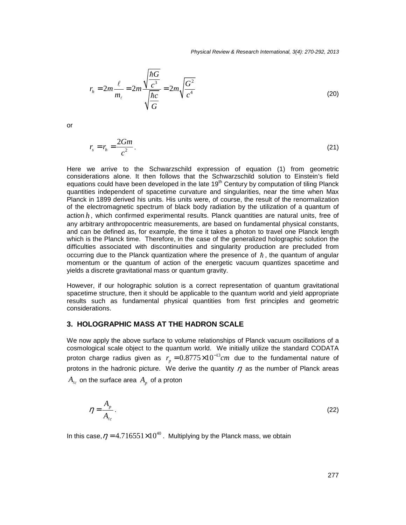Physical Review & Research International, 3(4): 270-292, 2013

$$
r_h = 2m \frac{\ell}{m_\ell} = 2m \frac{\sqrt{\frac{\hbar G}{c^3}}}{\sqrt{\frac{\hbar c}{G}}} = 2m \sqrt{\frac{G^2}{c^4}}
$$
(20)

or

$$
r_s = r_h = \frac{2Gm}{c^2}.
$$
\n<sup>(21)</sup>

Here we arrive to the Schwarzschild expression of equation (1) from geometric considerations alone. It then follows that the Schwarzschild solution to Einstein's field equations could have been developed in the late  $19<sup>th</sup>$  Century by computation of tiling Planck quantities independent of spacetime curvature and singularities, near the time when Max Planck in 1899 derived his units. His units were, of course, the result of the renormalization of the electromagnetic spectrum of black body radiation by the utilization of a quantum of action  $h$ , which confirmed experimental results. Planck quantities are natural units, free of any arbitrary anthropocentric measurements, are based on fundamental physical constants, and can be defined as, for example, the time it takes a photon to travel one Planck length which is the Planck time. Therefore, in the case of the generalized holographic solution the difficulties associated with discontinuities and singularity production are precluded from occurring due to the Planck quantization where the presence of  $\hbar$ , the quantum of angular momentum or the quantum of action of the energetic vacuum quantizes spacetime and yields a discrete gravitational mass or quantum gravity.

However, if our holographic solution is a correct representation of quantum gravitational spacetime structure, then it should be applicable to the quantum world and yield appropriate results such as fundamental physical quantities from first principles and geometric considerations.

#### **3. HOLOGRAPHIC MASS AT THE HADRON SCALE**

We now apply the above surface to volume relationships of Planck vacuum oscillations of a cosmological scale object to the quantum world. We initially utilize the standard CODATA proton charge radius given as  $r_p = 0.8775 \times 10^{-13} cm$  due to the fundamental nature of protons in the hadronic picture. We derive the quantity  $\eta$  as the number of Planck areas  $A_{\ell c}$  on the surface area  $A_{\rho}^{}$  of a proton

$$
\eta = \frac{A_p}{A_{\ell c}}\,. \tag{22}
$$

In this case,  $\eta = 4.716551 \times 10^{40}$ . Multiplying by the Planck mass, we obtain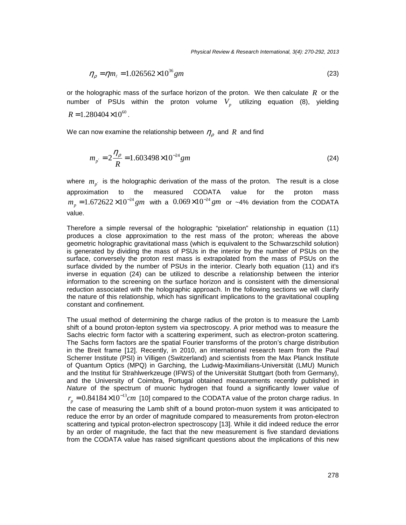$$
\eta_{\rho} = \eta m_{\ell} = 1.026562 \times 10^{36} \, \text{gm} \tag{23}
$$

or the holographic mass of the surface horizon of the proton. We then calculate  $R$  or the number of PSUs within the proton volume  $V_p$  utilizing equation (8), yielding  $R = 1.280404 \times 10^{60}$ .

We can now examine the relationship between  $\eta_{\rho}^{\phantom{\dag}}$  and  $R\phantom{\dag}$  and find

$$
m_{p'} = 2\frac{\eta_{\rho}}{R} = 1.603498 \times 10^{-24} \, \text{gm} \tag{24}
$$

where  $m_{p'}$  is the holographic derivation of the mass of the proton. The result is a close approximation to the measured CODATA value for the proton mass  $m_p = 1.672622 \times 10^{-24}$   $gm$  with a  $0.069 \times 10^{-24}$   $gm$  or ~4% deviation from the CODATA value.

Therefore a simple reversal of the holographic "pixelation" relationship in equation (11) produces a close approximation to the rest mass of the proton; whereas the above geometric holographic gravitational mass (which is equivalent to the Schwarzschild solution) is generated by dividing the mass of PSUs in the interior by the number of PSUs on the surface, conversely the proton rest mass is extrapolated from the mass of PSUs on the surface divided by the number of PSUs in the interior. Clearly both equation (11) and it's inverse in equation (24) can be utilized to describe a relationship between the interior information to the screening on the surface horizon and is consistent with the dimensional reduction associated with the holographic approach. In the following sections we will clarify the nature of this relationship, which has significant implications to the gravitational coupling constant and confinement.

The usual method of determining the charge radius of the proton is to measure the Lamb shift of a bound proton-lepton system via spectroscopy. A prior method was to measure the Sachs electric form factor with a scattering experiment, such as electron-proton scattering. The Sachs form factors are the spatial Fourier transforms of the proton's charge distribution in the Breit frame [12]. Recently, in 2010, an international research team from the Paul Scherrer Institute (PSI) in Villigen (Switzerland) and scientists from the Max Planck Institute of Quantum Optics (MPQ) in Garching, the Ludwig-Maximilians-Universität (LMU) Munich and the Institut für Strahlwerkzeuge (IFWS) of the Universität Stuttgart (both from Germany), and the University of Coimbra, Portugal obtained measurements recently published in Nature of the spectrum of muonic hydrogen that found a significantly lower value of  $r_{\rho} = 0.84184\times10^{-13} cm$  [10] compared to the CODATA value of the proton charge radius. In the case of measuring the Lamb shift of a bound proton-muon system it was anticipated to

reduce the error by an order of magnitude compared to measurements from proton-electron scattering and typical proton-electron spectroscopy [13]. While it did indeed reduce the error by an order of magnitude, the fact that the new measurement is five standard deviations from the CODATA value has raised significant questions about the implications of this new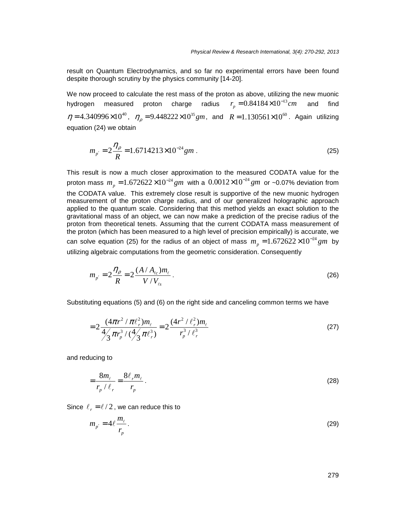result on Quantum Electrodynamics, and so far no experimental errors have been found despite thorough scrutiny by the physics community [14-20].

We now proceed to calculate the rest mass of the proton as above, utilizing the new muonic hydrogen measured proton charge radius  $r_p = 0.84184\times10^{-13} cm$  and find  $\eta = 4.340996 \times 10^{40}$ ,  $\eta_{\rho} = 9.448222 \times 10^{35}$  gm, and  $R = 1.130561 \times 10^{60}$ . Again utilizing equation (24) we obtain

$$
m_{p'} = 2\frac{\eta_{\rho}}{R} = 1.6714213 \times 10^{-24} \, \text{gm} \,. \tag{25}
$$

This result is now a much closer approximation to the measured CODATA value for the proton mass  $m_p = 1.672622 \times 10^{-24}$  *gm* with a  $0.0012 \times 10^{-24}$  *gm* or ~0.07% deviation from the CODATA value. This extremely close result is supportive of the new muonic hydrogen measurement of the proton charge radius, and of our generalized holographic approach applied to the quantum scale. Considering that this method yields an exact solution to the gravitational mass of an object, we can now make a prediction of the precise radius of the proton from theoretical tenets. Assuming that the current CODATA mass measurement of the proton (which has been measured to a high level of precision empirically) is accurate, we can solve equation (25) for the radius of an object of mass  $m_p = 1.672622 \times 10^{-24}$  gm by utilizing algebraic computations from the geometric consideration. Consequently

$$
m_{p'} = 2\frac{\eta_{\rho}}{R} = 2\frac{(A/A_{\ell c})m_{\ell}}{V/V_{\ell s}}.
$$
 (26)

Substituting equations (5) and (6) on the right side and canceling common terms we have

$$
=2\frac{(4\pi r^2/\pi\ell_r^2)m_\ell}{4\sqrt{3}\pi r_p^3/(\frac{4}{3}\pi\ell_r^3)}=2\frac{(4r^2/\ell_r^2)m_\ell}{r_p^3/\ell_r^3}
$$
(27)

and reducing to

$$
=\frac{8m_{\ell}}{r_p/\ell_r}=\frac{8\ell_r m_{\ell}}{r_p}.
$$
\n(28)

Since  $\ell_r = \ell/2$ , we can reduce this to

$$
m_{p'} = 4\ell \frac{m_{\ell}}{r_p} \,. \tag{29}
$$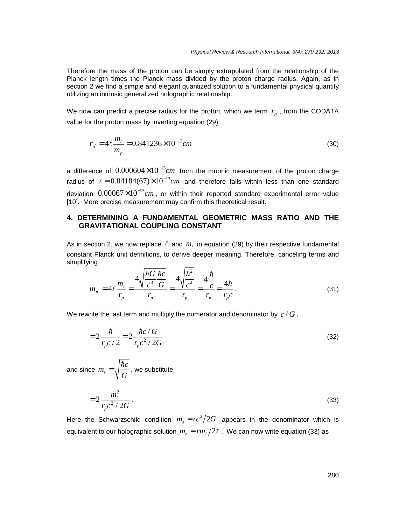Therefore the mass of the proton can be simply extrapolated from the relationship of the Planck length times the Planck mass divided by the proton charge radius. Again, as in section 2 we find a simple and elegant quantized solution to a fundamental physical quantity utilizing an intrinsic generalized holographic relationship.

We now can predict a precise radius for the proton, which we term  $r_{p'}$ , from the CODATA value for the proton mass by inverting equation (29)

$$
r_{p'} = 4\ell \frac{m_{\ell}}{m_p} = 0.841236 \times 10^{-13} cm \tag{30}
$$

a difference of  $0.000604\times10^{-13}cm$  from the muonic measurement of the proton charge radius of  $r = 0.84184(67) \times 10^{-13}$  *cm* and therefore falls within less than one standard deviation  $0.00067\times10^{-13}$ cm, or within their reported standard experimental error value [10]. More precise measurement may confirm this theoretical result.

#### **4. DETERMINING A FUNDAMENTAL GEOMETRIC MASS RATIO AND THE GRAVITATIONAL COUPLING CONSTANT**

As in section 2, we now replace  $\ell$  and  $m_\ell$  in equation (29) by their respective fundamental constant Planck unit definitions, to derive deeper meaning. Therefore, canceling terms and simplifying

$$
m_{p'} = 4\ell \frac{m_{\ell}}{r_p} = \frac{4\sqrt{\frac{\hbar G}{c^3} \frac{\hbar c}{G}}}{r_p} = \frac{4\sqrt{\frac{\hbar^2}{c^2}}}{r_p} = \frac{4\frac{\hbar}{c}}{r_p} = \frac{4\hbar}{r_p c}.
$$
 (31)

We rewrite the last term and multiply the numerator and denominator by  $\,c$  /  $G$  ,

$$
=2\frac{\hbar}{r_{p}c/2} = 2\frac{\hbar c/G}{r_{p}c^{2}/2G}
$$
 (32)

and since  $m_{\ell} = \sqrt{\frac{\hbar c}{\sigma}}$ , we substitute *G*  $\ell =$ h

$$
=2\frac{m_{\ell}^2}{r_{p}c^2/2G}.
$$
\n(33)

Here the Schwarzschild condition  $m_s = rc^2/2G$  appears in the denominator which is equivalent to our holographic solution  $m_h = rm_\ell/2\ell$  . We can now write equation (33) as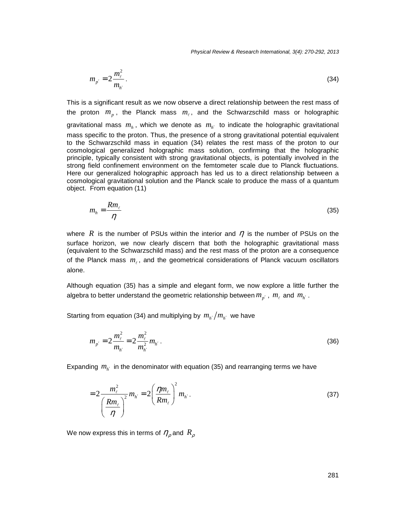Physical Review & Research International, 3(4): 270-292, 2013

$$
m_{p'} = 2 \frac{m_{\ell}^2}{m_{h'}}.
$$
 (34)

This is a significant result as we now observe a direct relationship between the rest mass of the proton  $m_p$ , the Planck mass  $m_\ell$ , and the Schwarzschild mass or holographic gravitational mass  $m_h$ , which we denote as  $m_{h'}$  to indicate the holographic gravitational mass specific to the proton. Thus, the presence of a strong gravitational potential equivalent to the Schwarzschild mass in equation (34) relates the rest mass of the proton to our cosmological generalized holographic mass solution, confirming that the holographic principle, typically consistent with strong gravitational objects, is potentially involved in the strong field confinement environment on the femtometer scale due to Planck fluctuations. Here our generalized holographic approach has led us to a direct relationship between a cosmological gravitational solution and the Planck scale to produce the mass of a quantum object. From equation (11)

$$
m_h = \frac{R m_\ell}{\eta} \tag{35}
$$

where  $R$  is the number of PSUs within the interior and  $\eta$  is the number of PSUs on the surface horizon, we now clearly discern that both the holographic gravitational mass (equivalent to the Schwarzschild mass) and the rest mass of the proton are a consequence of the Planck mass  $m_{\ell}$ , and the geometrical considerations of Planck vacuum oscillators alone.

Although equation (35) has a simple and elegant form, we now explore a little further the algebra to better understand the geometric relationship between  $m_{p'}^{}$  ,  $\,m_{\ell}^{}$  and  $\,m_{h'}^{}$  .

Starting from equation (34) and multiplying by  $m_{h'}/m_{h'}$  we have

$$
m_{p'} = 2 \frac{m_{\ell}^2}{m_{h'}} = 2 \frac{m_{\ell}^2}{m_{h'}^2} m_{h'}.
$$
 (36)

Expanding  $m_{h'}$  in the denominator with equation (35) and rearranging terms we have

$$
=2\frac{m_{\ell}^2}{\left(\frac{Rm_{\ell}}{\eta}\right)^2}m_{h'}=2\left(\frac{\eta m_{\ell}}{Rm_{\ell}}\right)^2m_{h'}.
$$
\n(37)

We now express this in terms of  $\,\eta_{\rho}^{}\,$  and  $\,R_{\rho}^{}\,$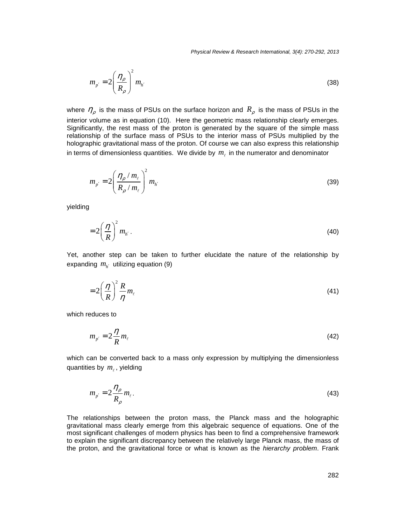Physical Review & Research International, 3(4): 270-292, 2013

$$
m_{p'} = 2\left(\frac{\eta_{\rho}}{R_{\rho}}\right)^2 m_{h'}
$$
 (38)

where  $\eta_{\rho}$  is the mass of PSUs on the surface horizon and  $R_{\rho}$  is the mass of PSUs in the interior volume as in equation (10). Here the geometric mass relationship clearly emerges. Significantly, the rest mass of the proton is generated by the square of the simple mass relationship of the surface mass of PSUs to the interior mass of PSUs multiplied by the holographic gravitational mass of the proton. Of course we can also express this relationship in terms of dimensionless quantities. We divide by  $m_{\ell}$  in the numerator and denominator

$$
m_{p'} = 2 \left( \frac{\eta_{\rho} / m_{\ell}}{R_{\rho} / m_{\ell}} \right)^2 m_{h'}
$$
 (39)

yielding

$$
=2\left(\frac{\eta}{R}\right)^2 m_{h'}.
$$
 (40)

Yet, another step can be taken to further elucidate the nature of the relationship by expanding  $m_{h'}$  utilizing equation (9)

$$
=2\left(\frac{\eta}{R}\right)^2\frac{R}{\eta}m_{\ell}\tag{41}
$$

which reduces to

$$
m_{p'} = 2\frac{\eta}{R} m_{\ell} \tag{42}
$$

which can be converted back to a mass only expression by multiplying the dimensionless quantities by  $m_{\ell}$ , yielding

$$
m_{p'} = 2\frac{\eta_{\rho}}{R_{\rho}} m_{\ell} \,. \tag{43}
$$

The relationships between the proton mass, the Planck mass and the holographic gravitational mass clearly emerge from this algebraic sequence of equations. One of the most significant challenges of modern physics has been to find a comprehensive framework to explain the significant discrepancy between the relatively large Planck mass, the mass of the proton, and the gravitational force or what is known as the hierarchy problem. Frank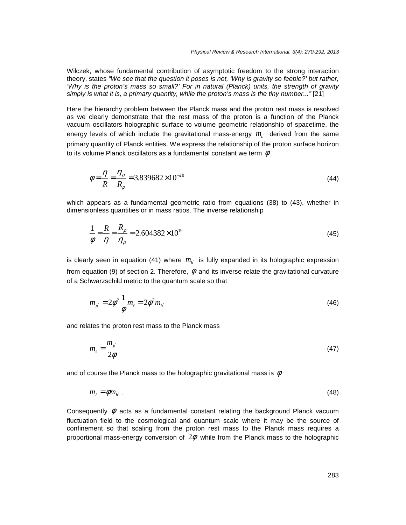Wilczek, whose fundamental contribution of asymptotic freedom to the strong interaction theory, states "We see that the question it poses is not, 'Why is gravity so feeble?' but rather, 'Why is the proton's mass so small?' For in natural (Planck) units, the strength of gravity simply is what it is, a primary quantity, while the proton's mass is the tiny number..." [21]

Here the hierarchy problem between the Planck mass and the proton rest mass is resolved as we clearly demonstrate that the rest mass of the proton is a function of the Planck vacuum oscillators holographic surface to volume geometric relationship of spacetime, the energy levels of which include the gravitational mass-energy  $m_{h'}$  derived from the same primary quantity of Planck entities. We express the relationship of the proton surface horizon to its volume Planck oscillators as a fundamental constant we term  $\,\phi$ 

$$
\phi = \frac{\eta}{R} = \frac{\eta_{\rho}}{R_{\rho}} = 3.839682 \times 10^{-20}
$$
\n(44)

which appears as a fundamental geometric ratio from equations (38) to (43), whether in dimensionless quantities or in mass ratios. The inverse relationship

$$
\frac{1}{\phi} = \frac{R}{\eta} = \frac{R_{\rho}}{\eta_{\rho}} = 2.604382 \times 10^{19}
$$
\n(45)

is clearly seen in equation (41) where  $m_{h'}$  is fully expanded in its holographic expression from equation (9) of section 2. Therefore,  $\phi$  and its inverse relate the gravitational curvature of a Schwarzschild metric to the quantum scale so that

$$
m_{p'} = 2\phi^2 \frac{1}{\phi} m_{\ell} = 2\phi^2 m_{h'}
$$
 (46)

and relates the proton rest mass to the Planck mass

$$
m_{\ell} = \frac{m_{p'}}{2\phi} \tag{47}
$$

and of course the Planck mass to the holographic gravitational mass is  $\,\phi$ 

$$
m_{\ell} = \phi m_{h'} \,. \tag{48}
$$

Consequently  $\phi$  acts as a fundamental constant relating the background Planck vacuum fluctuation field to the cosmological and quantum scale where it may be the source of confinement so that scaling from the proton rest mass to the Planck mass requires a proportional mass-energy conversion of  $2\phi$  while from the Planck mass to the holographic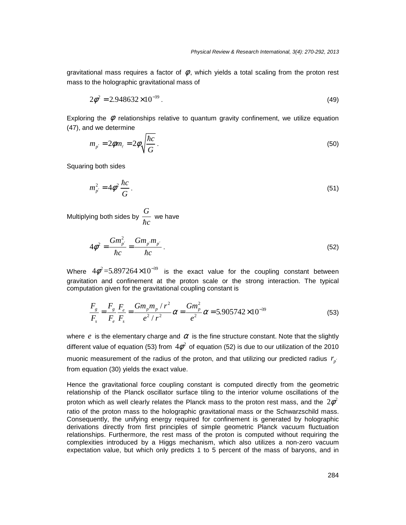gravitational mass requires a factor of  $\phi$ , which yields a total scaling from the proton rest mass to the holographic gravitational mass of

$$
2\phi^2 = 2.948632 \times 10^{-39} \,. \tag{49}
$$

Exploring the  $\phi$  relationships relative to quantum gravity confinement, we utilize equation (47), and we determine

$$
m_{p'} = 2\phi m_{\ell} = 2\phi \sqrt{\frac{\hbar c}{G}}.
$$
\n(50)

Squaring both sides

$$
m_{p'}^2 = 4\phi^2 \frac{\hbar c}{G} \,. \tag{51}
$$

Multiplying both sides by  $\frac{G}{\cdot}$  we have h*c*

$$
4\phi^2 = \frac{Gm_{p'}^2}{\hbar c} = \frac{Gm_{p'}m_{p'}}{\hbar c}.
$$
\n(52)

Where  $4\phi^2 = 5.897264 \times 10^{-39}$  is the exact value for the coupling constant between gravitation and confinement at the proton scale or the strong interaction. The typical computation given for the gravitational coupling constant is

$$
\frac{F_s}{F_s} = \frac{F_s}{F_e} \frac{F_e}{F_s} = \frac{Gm_p m_p / r^2}{e^2 / r^2} \alpha = \frac{Gm_p^2}{e^2} \alpha = 5.905742 \times 10^{-39}
$$
\n(53)

where  $e$  is the elementary charge and  $\alpha$  is the fine structure constant. Note that the slightly different value of equation (53) from  $4\phi^2$  of equation (52) is due to our utilization of the 2010 muonic measurement of the radius of the proton, and that utilizing our predicted radius  $r_{p'}$ from equation (30) yields the exact value.

Hence the gravitational force coupling constant is computed directly from the geometric relationship of the Planck oscillator surface tiling to the interior volume oscillations of the proton which as well clearly relates the Planck mass to the proton rest mass, and the  $2\phi^2$ ratio of the proton mass to the holographic gravitational mass or the Schwarzschild mass. Consequently, the unifying energy required for confinement is generated by holographic derivations directly from first principles of simple geometric Planck vacuum fluctuation relationships. Furthermore, the rest mass of the proton is computed without requiring the complexities introduced by a Higgs mechanism, which also utilizes a non-zero vacuum expectation value, but which only predicts 1 to 5 percent of the mass of baryons, and in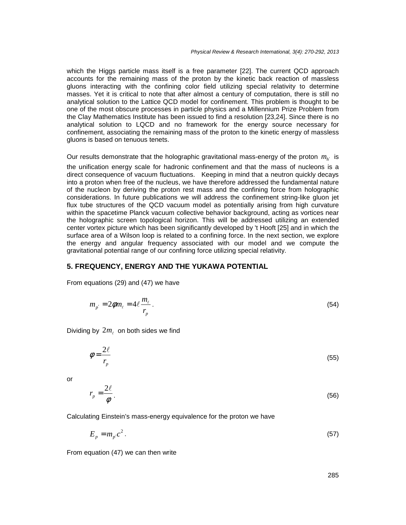which the Higgs particle mass itself is a free parameter [22]. The current QCD approach accounts for the remaining mass of the proton by the kinetic back reaction of massless gluons interacting with the confining color field utilizing special relativity to determine masses. Yet it is critical to note that after almost a century of computation, there is still no analytical solution to the Lattice QCD model for confinement. This problem is thought to be one of the most obscure processes in particle physics and a Millennium Prize Problem from the Clay Mathematics Institute has been issued to find a resolution [23,24]. Since there is no analytical solution to LQCD and no framework for the energy source necessary for confinement, associating the remaining mass of the proton to the kinetic energy of massless gluons is based on tenuous tenets.

Our results demonstrate that the holographic gravitational mass-energy of the proton  $m_{h'}$  is the unification energy scale for hadronic confinement and that the mass of nucleons is a direct consequence of vacuum fluctuations. Keeping in mind that a neutron quickly decays into a proton when free of the nucleus, we have therefore addressed the fundamental nature of the nucleon by deriving the proton rest mass and the confining force from holographic considerations. In future publications we will address the confinement string-like gluon jet flux tube structures of the QCD vacuum model as potentially arising from high curvature within the spacetime Planck vacuum collective behavior background, acting as vortices near the holographic screen topological horizon. This will be addressed utilizing an extended center vortex picture which has been significantly developed by 't Hooft [25] and in which the surface area of a Wilson loop is related to a confining force. In the next section, we explore the energy and angular frequency associated with our model and we compute the gravitational potential range of our confining force utilizing special relativity.

#### **5. FREQUENCY, ENERGY AND THE YUKAWA POTENTIAL**

From equations (29) and (47) we have

$$
m_{p'} = 2\phi m_{\ell} = 4\ell \frac{m_{\ell}}{r_p} \,. \tag{54}
$$

Dividing by  $2m_{\ell}$  on both sides we find

$$
\phi = \frac{2\ell}{r_p} \tag{55}
$$

or

$$
r_p = \frac{2\ell}{\phi} \,. \tag{56}
$$

Calculating Einstein's mass-energy equivalence for the proton we have

$$
E_p = m_p c^2. \tag{57}
$$

From equation (47) we can then write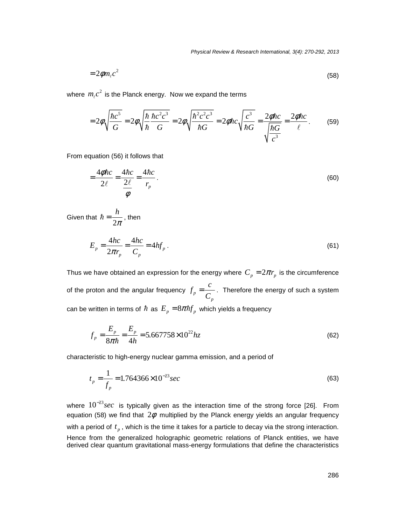$$
=2\phi m_{\ell}c^2\tag{58}
$$

where  $m_{\ell}c^2$  is the Planck energy. Now we expand the terms

$$
=2\phi\sqrt{\frac{\hbar c^5}{G}}=2\phi\sqrt{\frac{\hbar \,\hbar c^2 c^3}{\hbar \,G}}=2\phi\sqrt{\frac{\hbar^2 c^2 c^3}{\hbar G}}=2\phi\hbar c\sqrt{\frac{c^3}{\hbar G}}=\frac{2\phi\hbar c}{\sqrt{\frac{\hbar G}{c^3}}}=\frac{2\phi\hbar c}{\ell}.
$$
 (59)

From equation (56) it follows that

$$
=\frac{4\phi\hbar c}{2\ell}=\frac{4\hbar c}{\frac{2\ell}{\phi}}=\frac{4\hbar c}{r_p}.
$$
\n(60)

Given that  $\hbar = \frac{1}{2\pi}$ , then *h*  $\hbar = \frac{n}{2\pi}$ 

$$
E_p = \frac{4hc}{2\pi r_p} = \frac{4hc}{C_p} = 4hf_p \,. \tag{61}
$$

Thus we have obtained an expression for the energy where  $\,C_{_{P}}=2\pi r_{_{P}}\,$  is the circumference of the proton and the angular frequency  $f_p = \frac{1}{C}$ . Therefore the energy of such a system can be written in terms of  $\hbar$  as  $E_{p} = 8\pi\hbar f_{p}$  which yields a frequency *p*  $f_p = \frac{c}{a}$ *C* =

$$
f_p = \frac{E_p}{8\pi\hbar} = \frac{E_p}{4h} = 5.667758 \times 10^{22} hz
$$
 (62)

characteristic to high-energy nuclear gamma emission, and a period of

$$
t_p = \frac{1}{f_p} = 1.764366 \times 10^{-23} sec
$$
\n(63)

where  $10^{-23} sec$  is typically given as the interaction time of the strong force [26]. From equation (58) we find that  $2\phi$  multiplied by the Planck energy yields an angular frequency with a period of  $t_p$ , which is the time it takes for a particle to decay via the strong interaction. Hence from the generalized holographic geometric relations of Planck entities, we have derived clear quantum gravitational mass-energy formulations that define the characteristics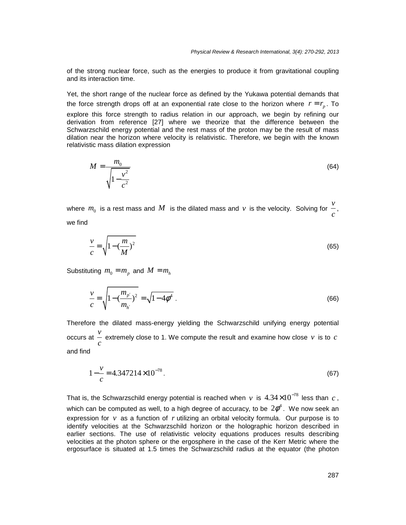of the strong nuclear force, such as the energies to produce it from gravitational coupling and its interaction time.

Yet, the short range of the nuclear force as defined by the Yukawa potential demands that the force strength drops off at an exponential rate close to the horizon where  $r = r_p$ . To explore this force strength to radius relation in our approach, we begin by refining our derivation from reference [27] where we theorize that the difference between the Schwarzschild energy potential and the rest mass of the proton may be the result of mass dilation near the horizon where velocity is relativistic. Therefore, we begin with the known relativistic mass dilation expression

$$
M = \frac{m_0}{\sqrt{1 - \frac{v^2}{c^2}}}
$$
(64)

where  $m_0$  is a rest mass and  $M$  is the dilated mass and  $v$  is the velocity. Solving for  $\frac{v}{\epsilon}$ , we find *c*

$$
\frac{v}{c} = \sqrt{1 - \left(\frac{m}{M}\right)^2} \tag{65}
$$

Substituting  $m_0 = m_p$  and  $M = m_h$ 

$$
\frac{v}{c} = \sqrt{1 - \left(\frac{m_{p'}}{m_{h'}}\right)^2} = \sqrt{1 - 4\phi^4} \tag{66}
$$

Therefore the dilated mass-energy yielding the Schwarzschild unifying energy potential occurs at  $\frac{v}{v}$  extremely close to 1. We compute the result and examine how close v is to and find *c*  $\nu$  *is to c* 

$$
1 - \frac{v}{c} = 4.347214 \times 10^{-78} \,. \tag{67}
$$

That is, the Schwarzschild energy potential is reached when v is  $4.34\times10^{-78}$  less than  $\,c$  , which can be computed as well, to a high degree of accuracy, to be  $2\phi^4$ . We now seek an expression for  $v$  as a function of  $r$  utilizing an orbital velocity formula. Our purpose is to identify velocities at the Schwarzschild horizon or the holographic horizon described in earlier sections. The use of relativistic velocity equations produces results describing velocities at the photon sphere or the ergosphere in the case of the Kerr Metric where the ergosurface is situated at 1.5 times the Schwarzschild radius at the equator (the photon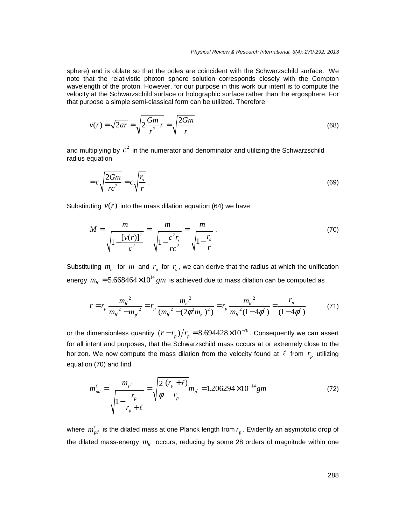sphere) and is oblate so that the poles are coincident with the Schwarzschild surface. We note that the relativistic photon sphere solution corresponds closely with the Compton wavelength of the proton. However, for our purpose in this work our intent is to compute the velocity at the Schwarzschild surface or holographic surface rather than the ergosphere. For that purpose a simple semi-classical form can be utilized. Therefore

$$
v(r) = \sqrt{2ar} = \sqrt{2\frac{Gm}{r^2}r} = \sqrt{\frac{2Gm}{r}}
$$
(68)

and multiplying by  $c^2$  in the numerator and denominator and utilizing the Schwarzschild radius equation

$$
=c\sqrt{\frac{2Gm}{rc^2}}=c\sqrt{\frac{r_s}{r}}\tag{69}
$$

Substituting  $v(r)$  into the mass dilation equation (64) we have

$$
M = \frac{m}{\sqrt{1 - \frac{[v(r)]^2}{c^2}}} = \frac{m}{\sqrt{1 - \frac{c^2 r_s}{r c^2}}} = \frac{m}{\sqrt{1 - \frac{r_s}{r}}}.
$$
(70)

Substituting  $m_{h'}$  for  $m$  and  $r_p$  for  $r_s$ , we can derive that the radius at which the unification energy  $m_{h^{'}} = 5.668464 \times 10^{14} \, gm$  is achieved due to mass dilation can be computed as

$$
r = r_p \frac{m_{h'}^2}{m_{h'}^2 - m_{p'}^2} = r_p \frac{m_{h'}^2}{(m_{h'}^2 - (2\phi^2 m_{h'})^2)} = r_p \frac{m_{h'}^2}{m_{h'}^2 (1 - 4\phi^4)} = \frac{r_p}{(1 - 4\phi^4)}
$$
(71)

or the dimensionless quantity  $(r - r_p)/r_p = 8.694428 \times 10^{-78}$ . Consequently we can assert for all intent and purposes, that the Schwarzschild mass occurs at or extremely close to the horizon. We now compute the mass dilation from the velocity found at  $\ell$  from  $r_p$  utilizing equation (70) and find

$$
m_{pd}^{\ell} = \frac{m_{p'}}{\sqrt{1 - \frac{r_p}{r_p + \ell}}} = \sqrt{\frac{2}{\phi} \frac{(r_p + \ell)}{r_p}} m_{p'} = 1.206294 \times 10^{-14} \text{gm}
$$
 (72)

where  $m_{pd}^{\ell}$  is the dilated mass at one Planck length from  $r_p$  . Evidently an asymptotic drop of the dilated mass-energy  $m_{h'}$  occurs, reducing by some 28 orders of magnitude within one *p r*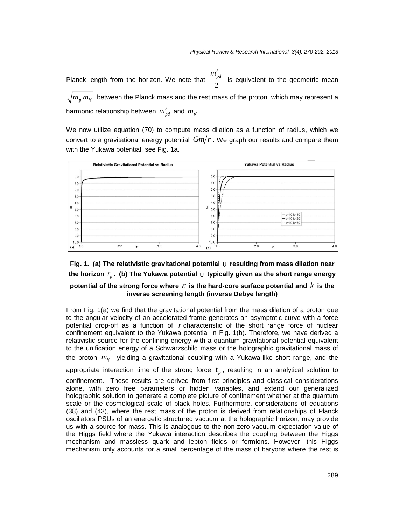Planck length from the horizon. We note that  $\frac{-\mu}{2}$  is equivalent to the geometric mean  $\overline{m_{p'}^{} m_{h'}^{} }$  between the Planck mass and the rest mass of the proton, which may represent a harmonic relationship between  $m_{pd}^{\ell}$  and  $m_{p'}^{\ell}$ .  $m_{\scriptscriptstyle\rm pd}^{\scriptscriptstyle\ell}$ Planck length from the horizon. We note that  $\frac{m_{pd}}{2}$  is equivalent to the geometric mean  $m_{nd}^{\ell}$ 

We now utilize equation (70) to compute mass dilation as a function of radius, which we convert to a gravitational energy potential  $\emph{Gm/r}$  . We graph our results and compare them with the Yukawa potential, see Fig. 1a.



## Fig. 1. (a) The relativistic gravitational potential  $\cup$  resulting from mass dilation near the horizon  $r_p$ . (b) The Yukawa potential  $\cup$  typically given as the short range energy potential of the strong force where  $\varepsilon$  is the hard-core surface potential and  $k$  is the **inverse screening length (inverse Debye length)**  $\mathbf{w}$  is the hard-core surface potential  $\mathbf{v}$  typically given as the short range energy

From Fig. 1(a) we find that the gravitational potential from the mass dilation of a proton due to the angular velocity of an accelerated frame generates an asymptotic curve with a force potential drop-off as a function of  $r$  characteristic of the short range force of nuclear confinement equivalent to the Yukawa potential in Fig. 1(b). Therefore, we have derived a relativistic source for the confining energy with a quantum gravitational potential equivalent to the unification energy of a Schwarzschild mass or the holographic gravitational mass of *mh* the proton  $m_{h'}$ , yielding a gravitational coupling with a Yukawa-like short range, and the

appropriate interaction time of the strong force  $t_p$ , resulting in an analytical solution to

confinement. These results are derived from first principles and classical considerations alone, with zero free parameters or hidden variables, and extend our generalized holographic solution to generate a complete picture of confinement whether at the quantum scale or the cosmological scale of black holes. Furthermore, considerations of equations (38) and (43), where the rest mass of the proton is derived from relationships of Planck oscillators PSUs of an energetic structured vacuum at the holographic horizon, may provide us with a source for mass. This is analogous to the non-zero vacuum expectation value of the Higgs field where the Yukawa interaction describes the coupling between the Higgs mechanism and massless quark and lepton fields or fermions. However, this Higgs mechanism only accounts for a small percentage of the mass of baryons where the rest is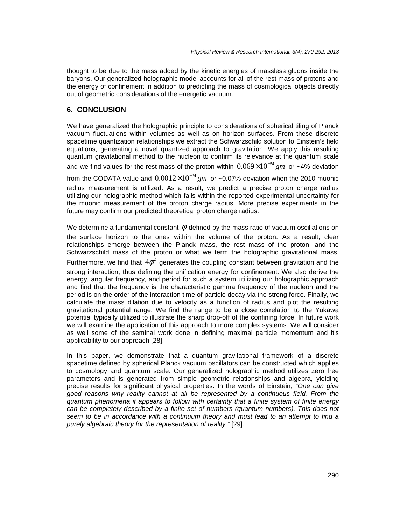thought to be due to the mass added by the kinetic energies of massless gluons inside the baryons. Our generalized holographic model accounts for all of the rest mass of protons and the energy of confinement in addition to predicting the mass of cosmological objects directly out of geometric considerations of the energetic vacuum.

#### **6. CONCLUSION**

We have generalized the holographic principle to considerations of spherical tiling of Planck vacuum fluctuations within volumes as well as on horizon surfaces. From these discrete spacetime quantization relationships we extract the Schwarzschild solution to Einstein's field equations, generating a novel quantized approach to gravitation. We apply this resulting quantum gravitational method to the nucleon to confirm its relevance at the quantum scale

and we find values for the rest mass of the proton within  $0.069\times10^{-24}$  gm or ~4% deviation

from the CODATA value and  $0.0012\times10^{-24}$  gm or ~0.07% deviation when the 2010 muonic radius measurement is utilized. As a result, we predict a precise proton charge radius utilizing our holographic method which falls within the reported experimental uncertainty for the muonic measurement of the proton charge radius. More precise experiments in the future may confirm our predicted theoretical proton charge radius.

We determine a fundamental constant  $\phi$  defined by the mass ratio of vacuum oscillations on the surface horizon to the ones within the volume of the proton. As a result, clear relationships emerge between the Planck mass, the rest mass of the proton, and the Schwarzschild mass of the proton or what we term the holographic gravitational mass. Furthermore, we find that  $4\phi^2$  generates the coupling constant between gravitation and the strong interaction, thus defining the unification energy for confinement. We also derive the energy, angular frequency, and period for such a system utilizing our holographic approach and find that the frequency is the characteristic gamma frequency of the nucleon and the period is on the order of the interaction time of particle decay via the strong force. Finally, we calculate the mass dilation due to velocity as a function of radius and plot the resulting gravitational potential range. We find the range to be a close correlation to the Yukawa potential typically utilized to illustrate the sharp drop-off of the confining force. In future work we will examine the application of this approach to more complex systems. We will consider as well some of the seminal work done in defining maximal particle momentum and it's applicability to our approach [28].

In this paper, we demonstrate that a quantum gravitational framework of a discrete spacetime defined by spherical Planck vacuum oscillators can be constructed which applies to cosmology and quantum scale. Our generalized holographic method utilizes zero free parameters and is generated from simple geometric relationships and algebra, yielding precise results for significant physical properties. In the words of Einstein, "One can give good reasons why reality cannot at all be represented by a continuous field. From the quantum phenomena it appears to follow with certainty that a finite system of finite energy can be completely described by a finite set of numbers (quantum numbers). This does not seem to be in accordance with a continuum theory and must lead to an attempt to find a purely algebraic theory for the representation of reality." [29].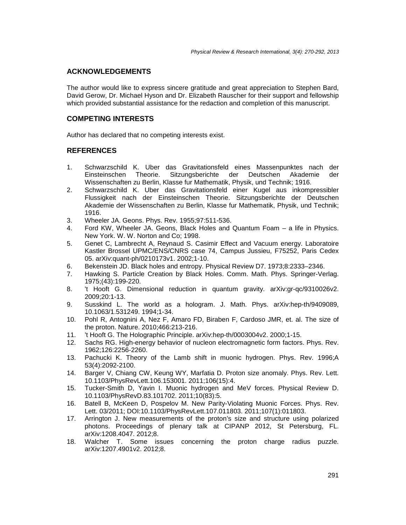#### **ACKNOWLEDGEMENTS**

The author would like to express sincere gratitude and great appreciation to Stephen Bard, David Gerow, Dr. Michael Hyson and Dr. Elizabeth Rauscher for their support and fellowship which provided substantial assistance for the redaction and completion of this manuscript.

## **COMPETING INTERESTS**

Author has declared that no competing interests exist.

#### **REFERENCES**

- 1. Schwarzschild K. Uber das Gravitationsfeld eines Massenpunktes nach der Einsteinschen Theorie. Sitzungsberichte der Deutschen Akademie der Wissenschaften zu Berlin, Klasse fur Mathematik, Physik, und Technik; 1916.
- 2. Schwarzschild K. Uber das Gravitationsfeld einer Kugel aus inkompressibler Flussigkeit nach der Einsteinschen Theorie. Sitzungsberichte der Deutschen Akademie der Wissenschaften zu Berlin, Klasse fur Mathematik, Physik, und Technik; 1916.
- 3. Wheeler JA. Geons. Phys. Rev. 1955;97:511-536.
- 4. Ford KW, Wheeler JA. Geons, Black Holes and Quantum Foam a life in Physics. New York. W. W. Norton and Co; 1998.
- 5. Genet C, Lambrecht A, Reynaud S. Casimir Effect and Vacuum energy. Laboratoire Kastler Brossel UPMC/ENS/CNRS case 74, Campus Jussieu, F75252, Paris Cedex 05. arXiv:quant-ph/0210173v1. 2002;1-10.
- 6. Bekenstein JD. Black holes and entropy. Physical Review D7. 1973;8:2333–2346.
- 7. Hawking S. Particle Creation by Black Holes. Comm. Math. Phys. Springer-Verlag. 1975;(43):199-220.
- 8. 't Hooft G. Dimensional reduction in quantum gravity. arXiv:gr-qc/9310026v2. 2009;20:1-13.
- 9. Susskind L. The world as a hologram. J. Math. Phys. arXiv:hep-th/9409089, 10.1063/1.531249. 1994;1-34.
- 10. Pohl R, Antognini A, Nez F, Amaro FD, Biraben F, Cardoso JMR, et. al. The size of the proton. Nature. 2010;466:213-216.
- 11. 't Hooft G. The Holographic Principle. arXiv:hep-th/0003004v2. 2000;1-15.
- 12. Sachs RG. High-energy behavior of nucleon electromagnetic form factors. Phys. Rev. 1962;126:2256-2260.
- 13. Pachucki K. Theory of the Lamb shift in muonic hydrogen. Phys. Rev. 1996;A 53(4):2092-2100.
- 14. Barger V, Chiang CW, Keung WY, Marfatia D. Proton size anomaly. Phys. Rev. Lett. 10.1103/PhysRevLett.106.153001. 2011;106(15):4.
- 15. Tucker-Smith D, Yavin I. Muonic hydrogen and MeV forces. Physical Review D. 10.1103/PhysRevD.83.101702. 2011;10(83):5.
- 16. Batell B, McKeen D, Pospelov M. New Parity-Violating Muonic Forces. Phys. Rev. Lett. 03/2011; DOI:10.1103/PhysRevLett.107.011803. 2011;107(1):011803.
- 17. Arrington J. New measurements of the proton's size and structure using polarized photons. Proceedings of plenary talk at CIPANP 2012, St Petersburg, FL. arXiv:1208.4047. 2012;8.
- 18. Walcher T. Some issues concerning the proton charge radius puzzle. arXiv:1207.4901v2. 2012;8.